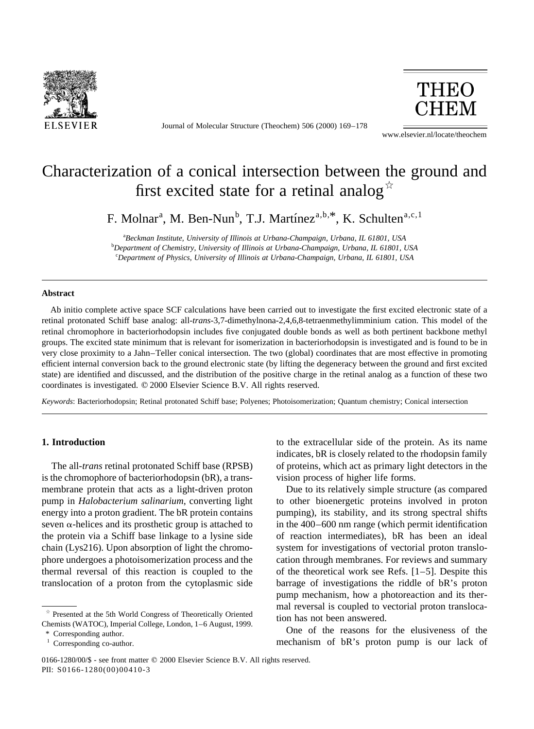

Journal of Molecular Structure (Theochem) 506 (2000) 169–178



www.elsevier.nl/locate/theochem

# Characterization of a conical intersection between the ground and first excited state for a retinal analog<sup> $\star$ </sup>

F. Molnar<sup>a</sup>, M. Ben-Nun<sup>b</sup>, T.J. Martínez<sup>a,b,\*</sup>, K. Schulten<sup>a,c,1</sup>

a *Beckman Institute, University of Illinois at Urbana-Champaign, Urbana, IL 61801, USA* b *Department of Chemistry, University of Illinois at Urbana-Champaign, Urbana, IL 61801, USA* c *Department of Physics, University of Illinois at Urbana-Champaign, Urbana, IL 61801, USA*

## **Abstract**

Ab initio complete active space SCF calculations have been carried out to investigate the first excited electronic state of a retinal protonated Schiff base analog: all-*trans*-3,7-dimethylnona-2,4,6,8-tetraenmethylimminium cation. This model of the retinal chromophore in bacteriorhodopsin includes five conjugated double bonds as well as both pertinent backbone methyl groups. The excited state minimum that is relevant for isomerization in bacteriorhodopsin is investigated and is found to be in very close proximity to a Jahn–Teller conical intersection. The two (global) coordinates that are most effective in promoting efficient internal conversion back to the ground electronic state (by lifting the degeneracy between the ground and first excited state) are identified and discussed, and the distribution of the positive charge in the retinal analog as a function of these two coordinates is investigated.  $© 2000$  Elsevier Science B.V. All rights reserved.

*Keywords*: Bacteriorhodopsin; Retinal protonated Schiff base; Polyenes; Photoisomerization; Quantum chemistry; Conical intersection

## **1. Introduction**

The all-*trans* retinal protonated Schiff base (RPSB) is the chromophore of bacteriorhodopsin (bR), a transmembrane protein that acts as a light-driven proton pump in *Halobacterium salinarium*, converting light energy into a proton gradient. The bR protein contains seven  $\alpha$ -helices and its prosthetic group is attached to the protein via a Schiff base linkage to a lysine side chain (Lys216). Upon absorption of light the chromophore undergoes a photoisomerization process and the thermal reversal of this reaction is coupled to the translocation of a proton from the cytoplasmic side

Corresponding author.

to the extracellular side of the protein. As its name indicates, bR is closely related to the rhodopsin family of proteins, which act as primary light detectors in the vision process of higher life forms.

Due to its relatively simple structure (as compared to other bioenergetic proteins involved in proton pumping), its stability, and its strong spectral shifts in the 400–600 nm range (which permit identification of reaction intermediates), bR has been an ideal system for investigations of vectorial proton translocation through membranes. For reviews and summary of the theoretical work see Refs. [1–5]. Despite this barrage of investigations the riddle of bR's proton pump mechanism, how a photoreaction and its thermal reversal is coupled to vectorial proton translocation has not been answered.

One of the reasons for the elusiveness of the mechanism of bR's proton pump is our lack of

 $*$  Presented at the 5th World Congress of Theoretically Oriented Chemists (WATOC), Imperial College, London, 1–6 August, 1999.

<sup>&</sup>lt;sup>1</sup> Corresponding co-author.

<sup>0166-1280/00/\$ -</sup> see front matter © 2000 Elsevier Science B.V. All rights reserved. PII: S0166-1280(00)00410-3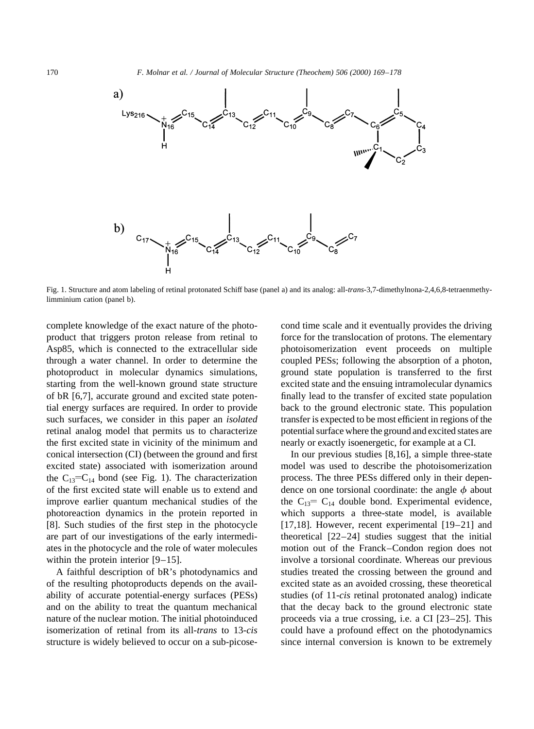

Fig. 1. Structure and atom labeling of retinal protonated Schiff base (panel a) and its analog: all-*trans*-3,7-dimethylnona-2,4,6,8-tetraenmethylimminium cation (panel b).

complete knowledge of the exact nature of the photoproduct that triggers proton release from retinal to Asp85, which is connected to the extracellular side through a water channel. In order to determine the photoproduct in molecular dynamics simulations, starting from the well-known ground state structure of bR [6,7], accurate ground and excited state potential energy surfaces are required. In order to provide such surfaces, we consider in this paper an *isolated* retinal analog model that permits us to characterize the first excited state in vicinity of the minimum and conical intersection (CI) (between the ground and first excited state) associated with isomerization around the  $C_{13}$ = $C_{14}$  bond (see Fig. 1). The characterization of the first excited state will enable us to extend and improve earlier quantum mechanical studies of the photoreaction dynamics in the protein reported in [8]. Such studies of the first step in the photocycle are part of our investigations of the early intermediates in the photocycle and the role of water molecules within the protein interior [9–15].

A faithful description of bR's photodynamics and of the resulting photoproducts depends on the availability of accurate potential-energy surfaces (PESs) and on the ability to treat the quantum mechanical nature of the nuclear motion. The initial photoinduced isomerization of retinal from its all-*trans* to 13-*cis* structure is widely believed to occur on a sub-picosecond time scale and it eventually provides the driving force for the translocation of protons. The elementary photoisomerization event proceeds on multiple coupled PESs; following the absorption of a photon, ground state population is transferred to the first excited state and the ensuing intramolecular dynamics finally lead to the transfer of excited state population back to the ground electronic state. This population transfer is expected to be most efficient in regions of the potential surface where the ground and excited states are nearly or exactly isoenergetic, for example at a CI.

In our previous studies [8,16], a simple three-state model was used to describe the photoisomerization process. The three PESs differed only in their dependence on one torsional coordinate: the angle  $\phi$  about the  $C_{13}$ =  $C_{14}$  double bond. Experimental evidence, which supports a three-state model, is available [17,18]. However, recent experimental [19–21] and theoretical [22–24] studies suggest that the initial motion out of the Franck–Condon region does not involve a torsional coordinate. Whereas our previous studies treated the crossing between the ground and excited state as an avoided crossing, these theoretical studies (of 11-*cis* retinal protonated analog) indicate that the decay back to the ground electronic state proceeds via a true crossing, i.e. a CI [23–25]. This could have a profound effect on the photodynamics since internal conversion is known to be extremely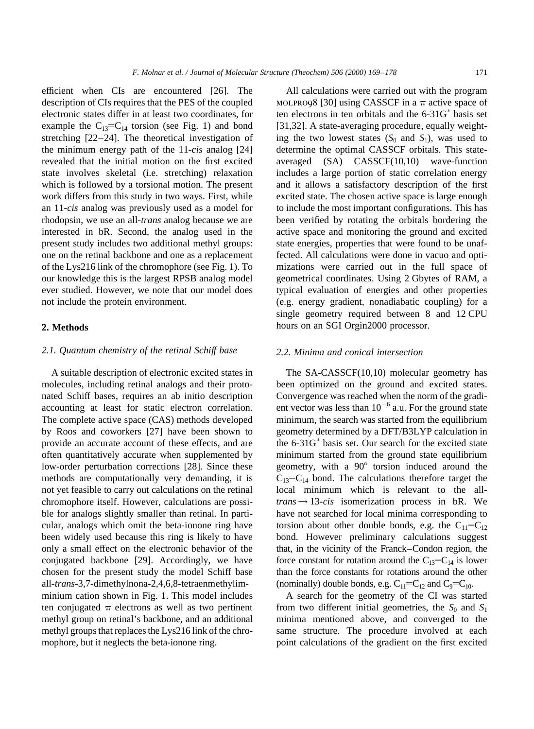efficient when CIs are encountered [26]. The description of CIs requires that the PES of the coupled electronic states differ in at least two coordinates, for example the  $C_{13}=C_{14}$  torsion (see Fig. 1) and bond stretching [22–24]. The theoretical investigation of the minimum energy path of the 11-*cis* analog [24] revealed that the initial motion on the first excited state involves skeletal (i.e. stretching) relaxation which is followed by a torsional motion. The present work differs from this study in two ways. First, while an 11-*cis* analog was previously used as a model for rhodopsin, we use an all-*trans* analog because we are interested in bR. Second, the analog used in the present study includes two additional methyl groups: one on the retinal backbone and one as a replacement of the Lys216 link of the chromophore (see Fig. 1). To our knowledge this is the largest RPSB analog model ever studied. However, we note that our model does not include the protein environment.

# **2. Methods**

# *2.1. Quantum chemistry of the retinal Schiff base*

A suitable description of electronic excited states in molecules, including retinal analogs and their protonated Schiff bases, requires an ab initio description accounting at least for static electron correlation. The complete active space (CAS) methods developed by Roos and coworkers [27] have been shown to provide an accurate account of these effects, and are often quantitatively accurate when supplemented by low-order perturbation corrections [28]. Since these methods are computationally very demanding, it is not yet feasible to carry out calculations on the retinal chromophore itself. However, calculations are possible for analogs slightly smaller than retinal. In particular, analogs which omit the beta-ionone ring have been widely used because this ring is likely to have only a small effect on the electronic behavior of the conjugated backbone [29]. Accordingly, we have chosen for the present study the model Schiff base all-*trans*-3,7-dimethylnona-2,4,6,8-tetraenmethylimminium cation shown in Fig. 1. This model includes ten conjugated  $\pi$  electrons as well as two pertinent methyl group on retinal's backbone, and an additional methyl groups that replaces the Lys216 link of the chromophore, but it neglects the beta-ionone ring.

All calculations were carried out with the program MOLPRO98 [30] using CASSCF in a  $\pi$  active space of ten electrons in ten orbitals and the  $6-31G^*$  basis set [31,32]. A state-averaging procedure, equally weighting the two lowest states  $(S_0 \text{ and } S_1)$ , was used to determine the optimal CASSCF orbitals. This stateaveraged (SA) CASSCF(10,10) wave-function includes a large portion of static correlation energy and it allows a satisfactory description of the first excited state. The chosen active space is large enough to include the most important configurations. This has been verified by rotating the orbitals bordering the active space and monitoring the ground and excited state energies, properties that were found to be unaffected. All calculations were done in vacuo and optimizations were carried out in the full space of geometrical coordinates. Using 2 Gbytes of RAM, a typical evaluation of energies and other properties (e.g. energy gradient, nonadiabatic coupling) for a single geometry required between 8 and 12 CPU hours on an SGI Orgin2000 processor.

## *2.2. Minima and conical intersection*

The SA-CASSCF(10,10) molecular geometry has been optimized on the ground and excited states. Convergence was reached when the norm of the gradient vector was less than  $10^{-6}$  a.u. For the ground state minimum, the search was started from the equilibrium geometry determined by a DFT/B3LYP calculation in the  $6-31G^*$  basis set. Our search for the excited state minimum started from the ground state equilibrium geometry, with a  $90^{\circ}$  torsion induced around the  $C_{13}=C_{14}$  bond. The calculations therefore target the local minimum which is relevant to the all $trans \rightarrow 13-cis$  isomerization process in bR. We have not searched for local minima corresponding to torsion about other double bonds, e.g. the  $C_{11} = C_{12}$ bond. However preliminary calculations suggest that, in the vicinity of the Franck–Condon region, the force constant for rotation around the  $C_{13}=C_{14}$  is lower than the force constants for rotations around the other (nominally) double bonds, e.g.  $C_{11} = C_{12}$  and  $C_9 = C_{10}$ .

A search for the geometry of the CI was started from two different initial geometries, the  $S_0$  and  $S_1$ minima mentioned above, and converged to the same structure. The procedure involved at each point calculations of the gradient on the first excited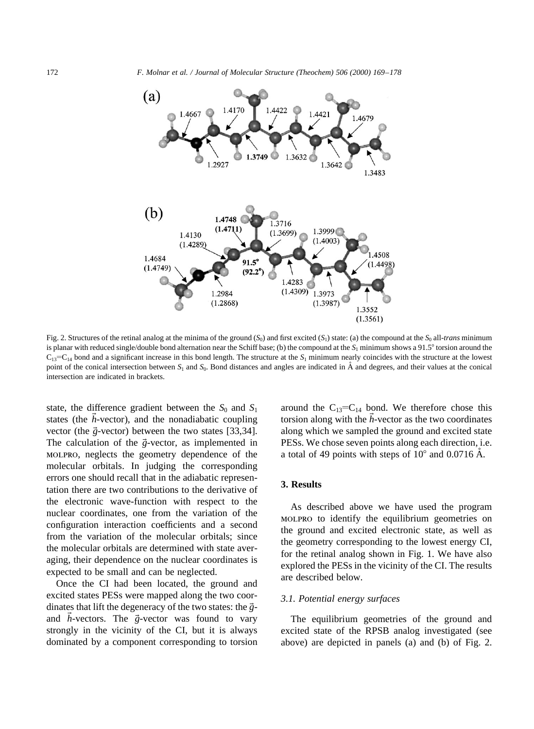

Fig. 2. Structures of the retinal analog at the minima of the ground  $(S_0)$  and first excited  $(S_1)$  state: (a) the compound at the  $S_0$  all-*trans* minimum is planar with reduced single/double bond alternation near the Schiff base; (b) the compound at the  $S_1$  minimum shows a 91.5° torsion around the  $C_{13}$ = $C_{14}$  bond and a significant increase in this bond length. The structure at the *S*<sub>1</sub> minimum nearly coincides with the structure at the lowest point of the conical intersection between  $S_1$  and  $S_0$ . Bond distances and angles are indicated in  $\AA$  and degrees, and their values at the conical intersection are indicated in brackets.

state, the difference gradient between the  $S_0$  and  $S_1$ states (the  $\vec{h}$ -vector), and the nonadiabatic coupling vector (the  $\vec{g}$ -vector) between the two states [33,34]. The calculation of the  $\vec{g}$ -vector, as implemented in molpro, neglects the geometry dependence of the molecular orbitals. In judging the corresponding errors one should recall that in the adiabatic representation there are two contributions to the derivative of the electronic wave-function with respect to the nuclear coordinates, one from the variation of the configuration interaction coefficients and a second from the variation of the molecular orbitals; since the molecular orbitals are determined with state averaging, their dependence on the nuclear coordinates is expected to be small and can be neglected.

Once the CI had been located, the ground and excited states PESs were mapped along the two coordinates that lift the degeneracy of the two states: the  $\vec{g}$ and  $\vec{h}$ -vectors. The  $\vec{g}$ -vector was found to vary strongly in the vicinity of the CI, but it is always dominated by a component corresponding to torsion around the  $C_{13}=C_{14}$  bond. We therefore chose this torsion along with the  $\vec{h}$ -vector as the two coordinates along which we sampled the ground and excited state PESs. We chose seven points along each direction, i.e. a total of 49 points with steps of  $10^{\circ}$  and 0.0716 Å.

# **3. Results**

As described above we have used the program molpro to identify the equilibrium geometries on the ground and excited electronic state, as well as the geometry corresponding to the lowest energy CI, for the retinal analog shown in Fig. 1. We have also explored the PESs in the vicinity of the CI. The results are described below.

## *3.1. Potential energy surfaces*

The equilibrium geometries of the ground and excited state of the RPSB analog investigated (see above) are depicted in panels (a) and (b) of Fig. 2.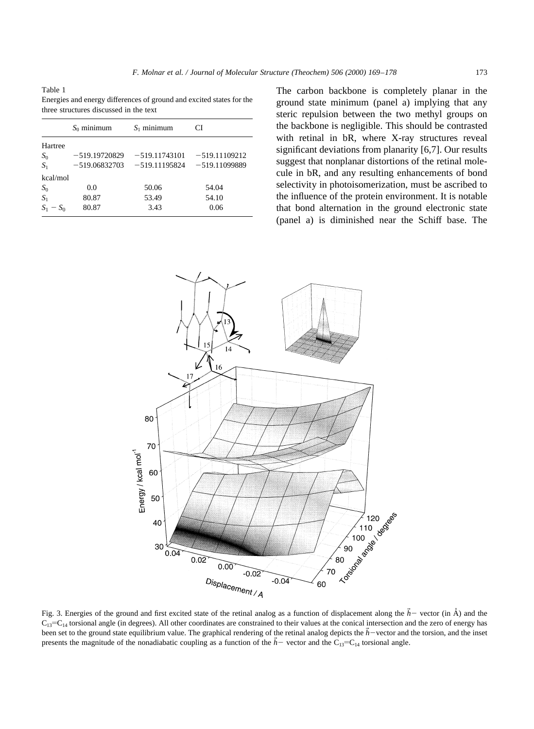Table 1 Energies and energy differences of ground and excited states for the three structures discussed in the text

|             | $S_0$ minimum   | $S_1$ minimum   | CI              |
|-------------|-----------------|-----------------|-----------------|
| Hartree     |                 |                 |                 |
| $S_0$       | $-519.19720829$ | $-519.11743101$ | $-519.11109212$ |
| $S_1$       | $-519.06832703$ | $-519.11195824$ | $-519.11099889$ |
| kcal/mol    |                 |                 |                 |
| $S_0$       | 0.0             | 50.06           | 54.04           |
| $S_1$       | 80.87           | 53.49           | 54.10           |
| $S_1 - S_0$ | 80.87           | 3.43            | 0.06            |

The carbon backbone is completely planar in the ground state minimum (panel a) implying that any steric repulsion between the two methyl groups on the backbone is negligible. This should be contrasted with retinal in bR, where X-ray structures reveal significant deviations from planarity [6,7]. Our results suggest that nonplanar distortions of the retinal molecule in bR, and any resulting enhancements of bond selectivity in photoisomerization, must be ascribed to the influence of the protein environment. It is notable that bond alternation in the ground electronic state (panel a) is diminished near the Schiff base. The



Fig. 3. Energies of the ground and first excited state of the retinal analog as a function of displacement along the  $\vec{h}$  - vector (in  $\hat{A}$ ) and the  $C_{13}$ = $C_{14}$  torsional angle (in degrees). All other coordinates are constrained to their values at the conical intersection and the zero of energy has been set to the ground state equilibrium value. The graphical rendering of the retinal analog depicts the  $h$ -vector and the torsion, and the inset presents the magnitude of the nonadiabatic coupling as a function of the  $h$ -vector and the C<sub>13</sub>-C<sub>14</sub> torsional angle.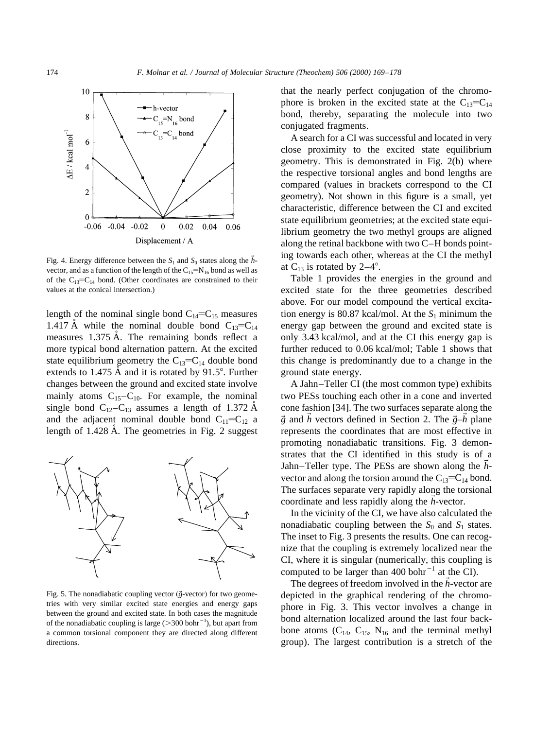

Fig. 4. Energy difference between the  $S_1$  and  $S_0$  states along the  $\vec{h}$ vector, and as a function of the length of the  $C_{15} = N_{16}$  bond as well as of the  $C_{13}=C_{14}$  bond. (Other coordinates are constrained to their values at the conical intersection.)

length of the nominal single bond  $C_{14} = C_{15}$  measures 1.417 Å while the nominal double bond  $C_{13}=C_{14}$ measures 1.375 A. The remaining bonds reflect a more typical bond alternation pattern. At the excited state equilibrium geometry the  $C_{13}=C_{14}$  double bond extends to 1.475  $\AA$  and it is rotated by 91.5°. Further changes between the ground and excited state involve mainly atoms  $C_{15}-C_{10}$ . For example, the nominal single bond  $C_{12}-C_{13}$  assumes a length of 1.372 Å and the adjacent nominal double bond  $C_{11} = C_{12}$  a length of  $1.428$  Å. The geometries in Fig. 2 suggest



Fig. 5. The nonadiabatic coupling vector  $(\vec{g}\text{-vector})$  for two geometries with very similar excited state energies and energy gaps between the ground and excited state. In both cases the magnitude of the nonadiabatic coupling is large  $(>300$  bohr<sup>-1</sup>), but apart from a common torsional component they are directed along different directions.

that the nearly perfect conjugation of the chromophore is broken in the excited state at the  $C_{13}=C_{14}$ bond, thereby, separating the molecule into two conjugated fragments.

A search for a CI was successful and located in very close proximity to the excited state equilibrium geometry. This is demonstrated in Fig. 2(b) where the respective torsional angles and bond lengths are compared (values in brackets correspond to the CI geometry). Not shown in this figure is a small, yet characteristic, difference between the CI and excited state equilibrium geometries; at the excited state equilibrium geometry the two methyl groups are aligned along the retinal backbone with two C–H bonds pointing towards each other, whereas at the CI the methyl at  $C_{13}$  is rotated by 2–4°.

Table 1 provides the energies in the ground and excited state for the three geometries described above. For our model compound the vertical excitation energy is 80.87 kcal/mol. At the  $S_1$  minimum the energy gap between the ground and excited state is only 3.43 kcal/mol, and at the CI this energy gap is further reduced to 0.06 kcal/mol; Table 1 shows that this change is predominantly due to a change in the ground state energy.

A Jahn–Teller CI (the most common type) exhibits two PESs touching each other in a cone and inverted cone fashion [34]. The two surfaces separate along the  $\vec{g}$  and  $\vec{h}$  vectors defined in Section 2. The  $\vec{g}-\vec{h}$  plane represents the coordinates that are most effective in promoting nonadiabatic transitions. Fig. 3 demonstrates that the CI identified in this study is of a Jahn–Teller type. The PESs are shown along the *h*~ vector and along the torsion around the  $C_{13} = C_{14}$  bond. The surfaces separate very rapidly along the torsional coordinate and less rapidly along the *h*-vector.

In the vicinity of the CI, we have also calculated the nonadiabatic coupling between the  $S_0$  and  $S_1$  states. The inset to Fig. 3 presents the results. One can recognize that the coupling is extremely localized near the CI, where it is singular (numerically, this coupling is computed to be larger than 400 bohr<sup> $^{-1}$ </sup> at the CI).

The degrees of freedom involved in the  $\vec{h}$ -vector are depicted in the graphical rendering of the chromophore in Fig. 3. This vector involves a change in bond alternation localized around the last four backbone atoms  $(C_{14}, C_{15}, N_{16}$  and the terminal methyl group). The largest contribution is a stretch of the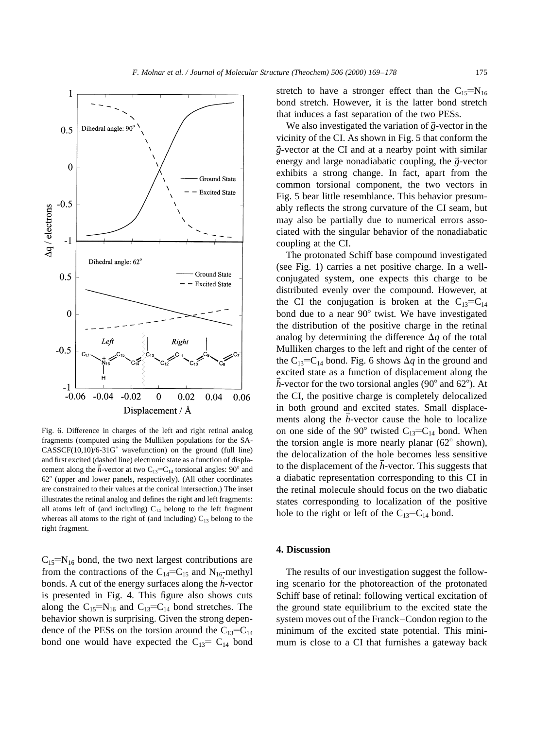

Fig. 6. Difference in charges of the left and right retinal analog fragments (computed using the Mulliken populations for the SA- $CASSCF(10,10)/6-31G^*$  wavefunction) on the ground (full line) and first excited (dashed line) electronic state as a function of displacement along the  $\bar{h}$ -vector at two C<sub>13</sub>=C<sub>14</sub> torsional angles: 90° and 62° (upper and lower panels, respectively). (All other coordinates are constrained to their values at the conical intersection.) The inset illustrates the retinal analog and defines the right and left fragments: all atoms left of (and including)  $C_{14}$  belong to the left fragment whereas all atoms to the right of (and including)  $C_{13}$  belong to the right fragment.

 $C_{15}$ =N<sub>16</sub> bond, the two next largest contributions are from the contractions of the  $C_{14}=C_{15}$  and N<sub>16</sub>-methyl bonds. A cut of the energy surfaces along the *h*-vector is presented in Fig. 4. This figure also shows cuts along the  $C_{15}=N_{16}$  and  $C_{13}=C_{14}$  bond stretches. The behavior shown is surprising. Given the strong dependence of the PESs on the torsion around the  $C_{13}=C_{14}$ bond one would have expected the  $C_{13}$ =  $C_{14}$  bond

stretch to have a stronger effect than the  $C_{15}=N_{16}$ bond stretch. However, it is the latter bond stretch that induces a fast separation of the two PESs.

We also investigated the variation of  $\vec{g}$ -vector in the vicinity of the CI. As shown in Fig. 5 that conform the  $\vec{g}$ -vector at the CI and at a nearby point with similar energy and large nonadiabatic coupling, the  $\vec{g}$ -vector exhibits a strong change. In fact, apart from the common torsional component, the two vectors in Fig. 5 bear little resemblance. This behavior presumably reflects the strong curvature of the CI seam, but may also be partially due to numerical errors associated with the singular behavior of the nonadiabatic coupling at the CI.

The protonated Schiff base compound investigated (see Fig. 1) carries a net positive charge. In a wellconjugated system, one expects this charge to be distributed evenly over the compound. However, at the CI the conjugation is broken at the  $C_{13}=C_{14}$ bond due to a near  $90^{\circ}$  twist. We have investigated the distribution of the positive charge in the retinal analog by determining the difference  $\Delta q$  of the total Mulliken charges to the left and right of the center of the C<sub>13</sub>=C<sub>14</sub> bond. Fig. 6 shows  $\Delta q$  in the ground and excited state as a function of displacement along the  $h$ -vector for the two torsional angles (90 $^{\circ}$  and 62 $^{\circ}$ ). At the CI, the positive charge is completely delocalized in both ground and excited states. Small displacements along the  $\vec{h}$ -vector cause the hole to localize on one side of the 90 $^{\circ}$  twisted C<sub>13</sub>=C<sub>14</sub> bond. When the torsion angle is more nearly planar  $(62^{\circ}$  shown), the delocalization of the hole becomes less sensitive to the displacement of the *h*-vector. This suggests that a diabatic representation corresponding to this CI in the retinal molecule should focus on the two diabatic states corresponding to localization of the positive hole to the right or left of the  $C_{13}=C_{14}$  bond.

# **4. Discussion**

The results of our investigation suggest the following scenario for the photoreaction of the protonated Schiff base of retinal: following vertical excitation of the ground state equilibrium to the excited state the system moves out of the Franck–Condon region to the minimum of the excited state potential. This minimum is close to a CI that furnishes a gateway back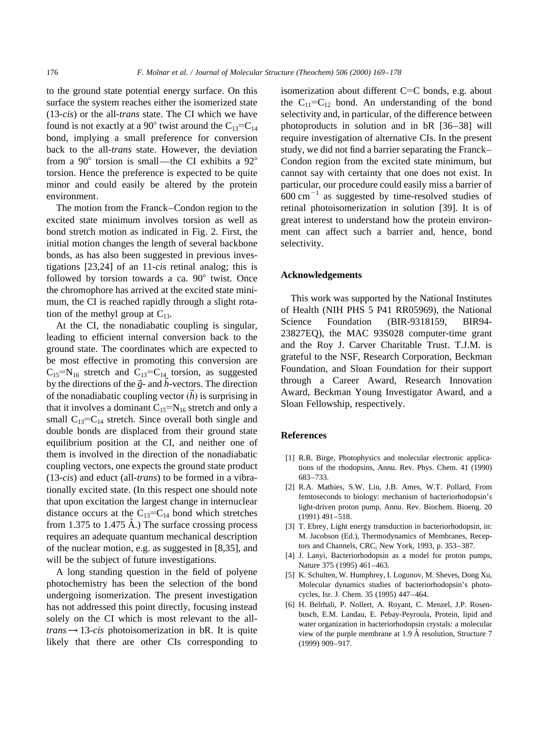to the ground state potential energy surface. On this surface the system reaches either the isomerized state (13-*cis*) or the all-*trans* state. The CI which we have found is not exactly at a 90 $^{\circ}$  twist around the C<sub>13</sub>=C<sub>14</sub> bond, implying a small preference for conversion back to the all-*trans* state. However, the deviation from a  $90^{\circ}$  torsion is small—the CI exhibits a  $92^{\circ}$ torsion. Hence the preference is expected to be quite minor and could easily be altered by the protein environment.

The motion from the Franck–Condon region to the excited state minimum involves torsion as well as bond stretch motion as indicated in Fig. 2. First, the initial motion changes the length of several backbone bonds, as has also been suggested in previous investigations [23,24] of an 11-*cis* retinal analog; this is followed by torsion towards a ca.  $90^\circ$  twist. Once the chromophore has arrived at the excited state minimum, the CI is reached rapidly through a slight rotation of the methyl group at  $C_{13}$ .

At the CI, the nonadiabatic coupling is singular, leading to efficient internal conversion back to the ground state. The coordinates which are expected to be most effective in promoting this conversion are  $C_{15}=N_{16}$  stretch and  $C_{13}=C_{14}$  torsion, as suggested by the directions of the  $\vec{g}$ - and  $\vec{h}$ -vectors. The direction of the nonadiabatic coupling vector  $(\vec{h})$  is surprising in that it involves a dominant  $C_{15}=N_{16}$  stretch and only a small  $C_{13}=C_{14}$  stretch. Since overall both single and double bonds are displaced from their ground state equilibrium position at the CI, and neither one of them is involved in the direction of the nonadiabatic coupling vectors, one expects the ground state product (13-*cis*) and educt (all-*trans*) to be formed in a vibrationally excited state. (In this respect one should note that upon excitation the largest change in internuclear distance occurs at the  $C_{13}=C_{14}$  bond which stretches from 1.375 to 1.475  $\AA$ .) The surface crossing process requires an adequate quantum mechanical description of the nuclear motion, e.g. as suggested in [8,35], and will be the subject of future investigations.

A long standing question in the field of polyene photochemistry has been the selection of the bond undergoing isomerization. The present investigation has not addressed this point directly, focusing instead solely on the CI which is most relevant to the all $trans \rightarrow 13-cis$  photoisomerization in bR. It is quite likely that there are other CIs corresponding to isomerization about different  $C=C$  bonds, e.g. about the  $C_{11} = C_{12}$  bond. An understanding of the bond selectivity and, in particular, of the difference between photoproducts in solution and in bR [36–38] will require investigation of alternative CIs. In the present study, we did not find a barrier separating the Franck– Condon region from the excited state minimum, but cannot say with certainty that one does not exist. In particular, our procedure could easily miss a barrier of  $600 \text{ cm}^{-1}$  as suggested by time-resolved studies of retinal photoisomerization in solution [39]. It is of great interest to understand how the protein environment can affect such a barrier and, hence, bond selectivity.

## **Acknowledgements**

This work was supported by the National Institutes of Health (NIH PHS 5 P41 RR05969), the National Science Foundation (BIR-9318159, BIR94- 23827EQ), the MAC 93S028 computer-time grant and the Roy J. Carver Charitable Trust. T.J.M. is grateful to the NSF, Research Corporation, Beckman Foundation, and Sloan Foundation for their support through a Career Award, Research Innovation Award, Beckman Young Investigator Award, and a Sloan Fellowship, respectively.

#### **References**

- [1] R.R. Birge, Photophysics and molecular electronic applications of the rhodopsins, Annu. Rev. Phys. Chem. 41 (1990) 683–733.
- [2] R.A. Mathies, S.W. Lin, J.B. Ames, W.T. Pollard, From femtoseconds to biology: mechanism of bacteriorhodopsin's light-driven proton pump, Annu. Rev. Biochem. Bioeng. 20 (1991) 491–518.
- [3] T. Ebrey, Light energy transduction in bacteriorhodopsin, in: M. Jacobson (Ed.), Thermodynamics of Membranes, Receptors and Channels, CRC, New York, 1993, p. 353–387.
- [4] J. Lanyi, Bacteriorhodopsin as a model for proton pumps, Nature 375 (1995) 461–463.
- [5] K. Schulten, W. Humphrey, I. Logunov, M. Sheves, Dong Xu, Molecular dynamics studies of bacteriorhodopsin's photocycles, Isr. J. Chem. 35 (1995) 447–464.
- [6] H. Belrhali, P. Nollert, A. Royant, C. Menzel, J.P. Rosenbusch, E.M. Landau, E. Pebay-Peyroula, Protein, lipid and water organization in bacteriorhodopsin crystals: a molecular view of the purple membrane at 1.9 Å resolution, Structure 7 (1999) 909–917.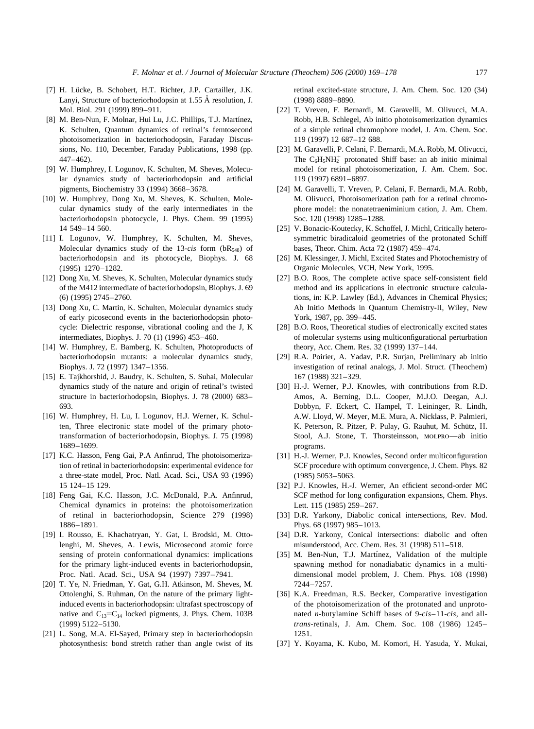- [7] H. Lücke, B. Schobert, H.T. Richter, J.P. Cartailler, J.K. Lanyi, Structure of bacteriorhodopsin at 1.55 Å resolution, J. Mol. Biol. 291 (1999) 899–911.
- [8] M. Ben-Nun, F. Molnar, Hui Lu, J.C. Phillips, T.J. Martínez, K. Schulten, Quantum dynamics of retinal's femtosecond photoisomerization in bacteriorhodopsin, Faraday Discussions, No. 110, December, Faraday Publications, 1998 (pp. 447–462).
- [9] W. Humphrey, I. Logunov, K. Schulten, M. Sheves, Molecular dynamics study of bacteriorhodopsin and artificial pigments, Biochemistry 33 (1994) 3668–3678.
- [10] W. Humphrey, Dong Xu, M. Sheves, K. Schulten, Molecular dynamics study of the early intermediates in the bacteriorhodopsin photocycle, J. Phys. Chem. 99 (1995) 14 549–14 560.
- [11] I. Logunov, W. Humphrey, K. Schulten, M. Sheves, Molecular dynamics study of the 13-*cis* form  $(bR_{548})$  of bacteriorhodopsin and its photocycle, Biophys. J. 68 (1995) 1270–1282.
- [12] Dong Xu, M. Sheves, K. Schulten, Molecular dynamics study of the M412 intermediate of bacteriorhodopsin, Biophys. J. 69 (6) (1995) 2745–2760.
- [13] Dong Xu, C. Martin, K. Schulten, Molecular dynamics study of early picosecond events in the bacteriorhodopsin photocycle: Dielectric response, vibrational cooling and the J, K intermediates, Biophys. J. 70 (1) (1996) 453–460.
- [14] W. Humphrey, E. Bamberg, K. Schulten, Photoproducts of bacteriorhodopsin mutants: a molecular dynamics study, Biophys. J. 72 (1997) 1347–1356.
- [15] E. Tajkhorshid, J. Baudry, K. Schulten, S. Suhai, Molecular dynamics study of the nature and origin of retinal's twisted structure in bacteriorhodopsin, Biophys. J. 78 (2000) 683– 693.
- [16] W. Humphrey, H. Lu, I. Logunov, H.J. Werner, K. Schulten, Three electronic state model of the primary phototransformation of bacteriorhodopsin, Biophys. J. 75 (1998) 1689–1699.
- [17] K.C. Hasson, Feng Gai, P.A Anfinrud, The photoisomerization of retinal in bacteriorhodopsin: experimental evidence for a three-state model, Proc. Natl. Acad. Sci., USA 93 (1996) 15 124–15 129.
- [18] Feng Gai, K.C. Hasson, J.C. McDonald, P.A. Anfinrud, Chemical dynamics in proteins: the photoisomerization of retinal in bacteriorhodopsin, Science 279 (1998) 1886–1891.
- [19] I. Rousso, E. Khachatryan, Y. Gat, I. Brodski, M. Ottolenghi, M. Sheves, A. Lewis, Microsecond atomic force sensing of protein conformational dynamics: implications for the primary light-induced events in bacteriorhodopsin, Proc. Natl. Acad. Sci., USA 94 (1997) 7397–7941.
- [20] T. Ye, N. Friedman, Y. Gat, G.H. Atkinson, M. Sheves, M. Ottolenghi, S. Ruhman, On the nature of the primary lightinduced events in bacteriorhodopsin: ultrafast spectroscopy of native and  $C_{13} = C_{14}$  locked pigments, J. Phys. Chem. 103B (1999) 5122–5130.
- [21] L. Song, M.A. El-Sayed, Primary step in bacteriorhodopsin photosynthesis: bond stretch rather than angle twist of its

retinal excited-state structure, J. Am. Chem. Soc. 120 (34) (1998) 8889–8890.

- [22] T. Vreven, F. Bernardi, M. Garavelli, M. Olivucci, M.A. Robb, H.B. Schlegel, Ab initio photoisomerization dynamics of a simple retinal chromophore model, J. Am. Chem. Soc. 119 (1997) 12 687–12 688.
- [23] M. Garavelli, P. Celani, F. Bernardi, M.A. Robb, M. Olivucci, The  $C_6H_5NH_2^+$  protonated Shiff base: an ab initio minimal model for retinal photoisomerization, J. Am. Chem. Soc. 119 (1997) 6891–6897.
- [24] M. Garavelli, T. Vreven, P. Celani, F. Bernardi, M.A. Robb, M. Olivucci, Photoisomerization path for a retinal chromophore model: the nonatetraeniminium cation, J. Am. Chem. Soc. 120 (1998) 1285–1288.
- [25] V. Bonacic-Koutecky, K. Schoffel, J. Michl, Critically heterosymmetric biradicaloid geometries of the protonated Schiff bases, Theor. Chim. Acta 72 (1987) 459–474.
- [26] M. Klessinger, J. Michl, Excited States and Photochemistry of Organic Molecules, VCH, New York, 1995.
- [27] B.O. Roos, The complete active space self-consistent field method and its applications in electronic structure calculations, in: K.P. Lawley (Ed.), Advances in Chemical Physics; Ab Initio Methods in Quantum Chemistry-II, Wiley, New York, 1987, pp. 399–445.
- [28] B.O. Roos, Theoretical studies of electronically excited states of molecular systems using multiconfigurational perturbation theory, Acc. Chem. Res. 32 (1999) 137–144.
- [29] R.A. Poirier, A. Yadav, P.R. Surjan, Preliminary ab initio investigation of retinal analogs, J. Mol. Struct. (Theochem) 167 (1988) 321–329.
- [30] H.-J. Werner, P.J. Knowles, with contributions from R.D. Amos, A. Berning, D.L. Cooper, M.J.O. Deegan, A.J. Dobbyn, F. Eckert, C. Hampel, T. Leininger, R. Lindh, A.W. Lloyd, W. Meyer, M.E. Mura, A. Nicklass, P. Palmieri, K. Peterson, R. Pitzer, P. Pulay, G. Rauhut, M. Schütz, H. Stool, A.J. Stone, T. Thorsteinsson, molpro—ab initio programs.
- [31] H.-J. Werner, P.J. Knowles, Second order multiconfiguration SCF procedure with optimum convergence, J. Chem. Phys. 82 (1985) 5053–5063.
- [32] P.J. Knowles, H.-J. Werner, An efficient second-order MC SCF method for long configuration expansions, Chem. Phys. Lett. 115 (1985) 259–267.
- [33] D.R. Yarkony, Diabolic conical intersections, Rev. Mod. Phys. 68 (1997) 985–1013.
- [34] D.R. Yarkony, Conical intersections: diabolic and often misunderstood, Acc. Chem. Res. 31 (1998) 511–518.
- [35] M. Ben-Nun, T.J. Martínez, Validation of the multiple spawning method for nonadiabatic dynamics in a multidimensional model problem, J. Chem. Phys. 108 (1998) 7244–7257.
- [36] K.A. Freedman, R.S. Becker, Comparative investigation of the photoisomerization of the protonated and unprotonated *n*-butylamine Schiff bases of 9-*cis*–11-*cis*, and all*trans*-retinals, J. Am. Chem. Soc. 108 (1986) 1245– 1251.
- [37] Y. Koyama, K. Kubo, M. Komori, H. Yasuda, Y. Mukai,